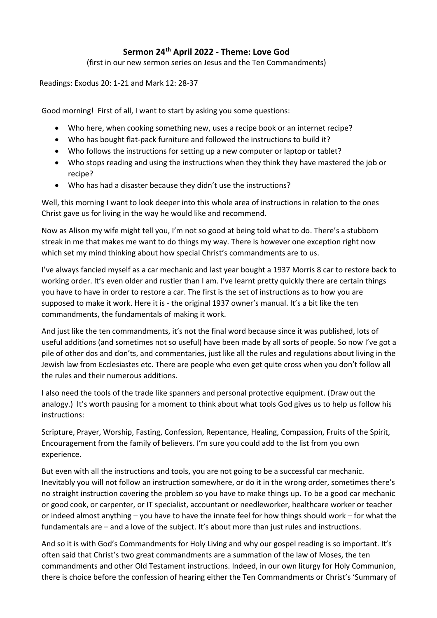## **Sermon 24th April 2022 - Theme: Love God**

(first in our new sermon series on Jesus and the Ten Commandments)

Readings: Exodus 20: 1-21 and Mark 12: 28-37

Good morning! First of all, I want to start by asking you some questions:

- Who here, when cooking something new, uses a recipe book or an internet recipe?
- Who has bought flat-pack furniture and followed the instructions to build it?
- Who follows the instructions for setting up a new computer or laptop or tablet?
- Who stops reading and using the instructions when they think they have mastered the job or recipe?
- Who has had a disaster because they didn't use the instructions?

Well, this morning I want to look deeper into this whole area of instructions in relation to the ones Christ gave us for living in the way he would like and recommend.

Now as Alison my wife might tell you, I'm not so good at being told what to do. There's a stubborn streak in me that makes me want to do things my way. There is however one exception right now which set my mind thinking about how special Christ's commandments are to us.

I've always fancied myself as a car mechanic and last year bought a 1937 Morris 8 car to restore back to working order. It's even older and rustier than I am. I've learnt pretty quickly there are certain things you have to have in order to restore a car. The first is the set of instructions as to how you are supposed to make it work. Here it is - the original 1937 owner's manual. It's a bit like the ten commandments, the fundamentals of making it work.

And just like the ten commandments, it's not the final word because since it was published, lots of useful additions (and sometimes not so useful) have been made by all sorts of people. So now I've got a pile of other dos and don'ts, and commentaries, just like all the rules and regulations about living in the Jewish law from Ecclesiastes etc. There are people who even get quite cross when you don't follow all the rules and their numerous additions.

I also need the tools of the trade like spanners and personal protective equipment. (Draw out the analogy.) It's worth pausing for a moment to think about what tools God gives us to help us follow his instructions:

Scripture, Prayer, Worship, Fasting, Confession, Repentance, Healing, Compassion, Fruits of the Spirit, Encouragement from the family of believers. I'm sure you could add to the list from you own experience.

But even with all the instructions and tools, you are not going to be a successful car mechanic. Inevitably you will not follow an instruction somewhere, or do it in the wrong order, sometimes there's no straight instruction covering the problem so you have to make things up. To be a good car mechanic or good cook, or carpenter, or IT specialist, accountant or needleworker, healthcare worker or teacher or indeed almost anything – you have to have the innate feel for how things should work – for what the fundamentals are – and a love of the subject. It's about more than just rules and instructions.

And so it is with God's Commandments for Holy Living and why our gospel reading is so important. It's often said that Christ's two great commandments are a summation of the law of Moses, the ten commandments and other Old Testament instructions. Indeed, in our own liturgy for Holy Communion, there is choice before the confession of hearing either the Ten Commandments or Christ's 'Summary of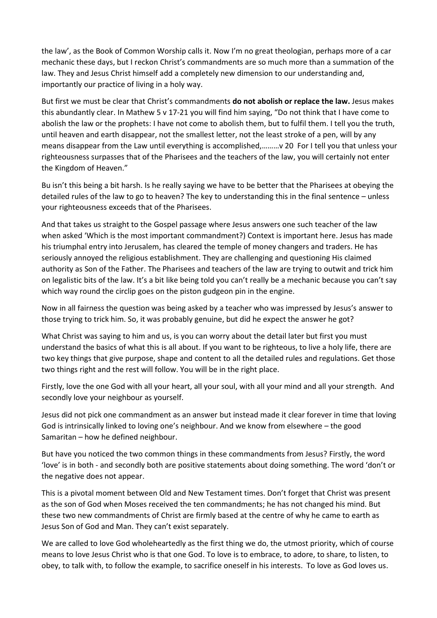the law', as the Book of Common Worship calls it. Now I'm no great theologian, perhaps more of a car mechanic these days, but I reckon Christ's commandments are so much more than a summation of the law. They and Jesus Christ himself add a completely new dimension to our understanding and, importantly our practice of living in a holy way.

But first we must be clear that Christ's commandments **do not abolish or replace the law.** Jesus makes this abundantly clear. In Mathew 5 v 17-21 you will find him saying, "Do not think that I have come to abolish the law or the prophets: I have not come to abolish them, but to fulfil them. I tell you the truth, until heaven and earth disappear, not the smallest letter, not the least stroke of a pen, will by any means disappear from the Law until everything is accomplished,………v 20 For I tell you that unless your righteousness surpasses that of the Pharisees and the teachers of the law, you will certainly not enter the Kingdom of Heaven."

Bu isn't this being a bit harsh. Is he really saying we have to be better that the Pharisees at obeying the detailed rules of the law to go to heaven? The key to understanding this in the final sentence – unless your righteousness exceeds that of the Pharisees.

And that takes us straight to the Gospel passage where Jesus answers one such teacher of the law when asked 'Which is the most important commandment?) Context is important here. Jesus has made his triumphal entry into Jerusalem, has cleared the temple of money changers and traders. He has seriously annoyed the religious establishment. They are challenging and questioning His claimed authority as Son of the Father. The Pharisees and teachers of the law are trying to outwit and trick him on legalistic bits of the law. It's a bit like being told you can't really be a mechanic because you can't say which way round the circlip goes on the piston gudgeon pin in the engine.

Now in all fairness the question was being asked by a teacher who was impressed by Jesus's answer to those trying to trick him. So, it was probably genuine, but did he expect the answer he got?

What Christ was saying to him and us, is you can worry about the detail later but first you must understand the basics of what this is all about. If you want to be righteous, to live a holy life, there are two key things that give purpose, shape and content to all the detailed rules and regulations. Get those two things right and the rest will follow. You will be in the right place.

Firstly, love the one God with all your heart, all your soul, with all your mind and all your strength. And secondly love your neighbour as yourself.

Jesus did not pick one commandment as an answer but instead made it clear forever in time that loving God is intrinsically linked to loving one's neighbour. And we know from elsewhere – the good Samaritan – how he defined neighbour.

But have you noticed the two common things in these commandments from Jesus? Firstly, the word 'love' is in both - and secondly both are positive statements about doing something. The word 'don't or the negative does not appear.

This is a pivotal moment between Old and New Testament times. Don't forget that Christ was present as the son of God when Moses received the ten commandments; he has not changed his mind. But these two new commandments of Christ are firmly based at the centre of why he came to earth as Jesus Son of God and Man. They can't exist separately.

We are called to love God wholeheartedly as the first thing we do, the utmost priority, which of course means to love Jesus Christ who is that one God. To love is to embrace, to adore, to share, to listen, to obey, to talk with, to follow the example, to sacrifice oneself in his interests. To love as God loves us.